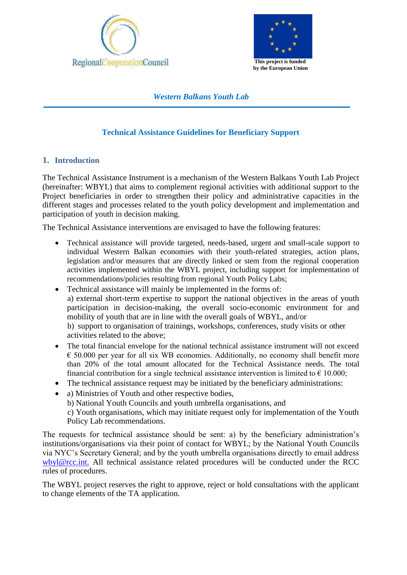



**by the European Union**

*Western Balkans Youth Lab*

# **Technical Assistance Guidelines for Beneficiary Support**

## **1. Introduction**

The Technical Assistance Instrument is a mechanism of the Western Balkans Youth Lab Project (hereinafter: WBYL) that aims to complement regional activities with additional support to the Project beneficiaries in order to strengthen their policy and administrative capacities in the different stages and processes related to the youth policy development and implementation and participation of youth in decision making.

The Technical Assistance interventions are envisaged to have the following features:

- Technical assistance will provide targeted, needs-based, urgent and small-scale support to individual Western Balkan economies with their youth-related strategies, action plans, legislation and/or measures that are directly linked or stem from the regional cooperation activities implemented within the WBYL project, including support for implementation of recommendations/policies resulting from regional Youth Policy Labs;
- Technical assistance will mainly be implemented in the forms of: a) external short-term expertise to support the national objectives in the areas of youth participation in decision-making, the overall socio-economic environment for and mobility of youth that are in line with the overall goals of WBYL, and/or b) support to organisation of trainings, workshops, conferences, study visits or other activities related to the above;
- The total financial envelope for the national technical assistance instrument will not exceed  $\epsilon$  50.000 per year for all six WB economies. Additionally, no economy shall benefit more than 20% of the total amount allocated for the Technical Assistance needs. The total financial contribution for a single technical assistance intervention is limited to  $\epsilon$  10.000;
- The technical assistance request may be initiated by the beneficiary administrations:
- a) Ministries of Youth and other respective bodies,

b) National Youth Councils and youth umbrella organisations, and

c) Youth organisations, which may initiate request only for implementation of the Youth Policy Lab recommendations.

The requests for technical assistance should be sent: a) by the beneficiary administration's institutions/organisations via their point of contact for WBYL; by the National Youth Councils via NYC's Secretary General; and by the youth umbrella organisations directly to email address [wbyl@rcc.int.](mailto:wbyl@rcc.int) All technical assistance related procedures will be conducted under the RCC rules of procedures.

The WBYL project reserves the right to approve, reject or hold consultations with the applicant to change elements of the TA application.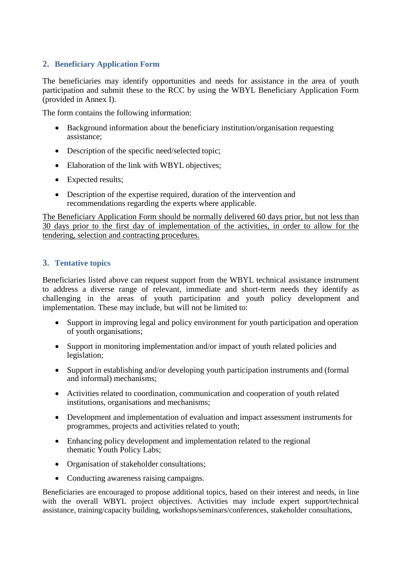## **2. Beneficiary Application Form**

The beneficiaries may identify opportunities and needs for assistance in the area of youth participation and submit these to the RCC by using the WBYL Beneficiary Application Form (provided in Annex I).

The form contains the following information:

- Background information about the beneficiary institution/organisation requesting assistance;
- Description of the specific need/selected topic;
- Elaboration of the link with WBYL objectives;
- Expected results;
- Description of the expertise required, duration of the intervention and recommendations regarding the experts where applicable.

The Beneficiary Application Form should be normally delivered 60 days prior, but not less than 30 days prior to the first day of implementation of the activities, in order to allow for the tendering, selection and contracting procedures.

### **3. Tentative topics**

Beneficiaries listed above can request support from the WBYL technical assistance instrument to address a diverse range of relevant, immediate and short-term needs they identify as challenging in the areas of youth participation and youth policy development and implementation. These may include, but will not be limited to:

- Support in improving legal and policy environment for youth participation and operation of youth organisations;
- Support in monitoring implementation and/or impact of youth related policies and legislation;
- Support in establishing and/or developing youth participation instruments and (formal and informal) mechanisms;
- Activities related to coordination, communication and cooperation of youth related institutions, organisations and mechanisms;
- Development and implementation of evaluation and impact assessment instruments for programmes, projects and activities related to youth;
- Enhancing policy development and implementation related to the regional thematic Youth Policy Labs;
- Organisation of stakeholder consultations:
- Conducting awareness raising campaigns.

Beneficiaries are encouraged to propose additional topics, based on their interest and needs, in line with the overall WBYL project objectives. Activities may include expert support/technical assistance, training/capacity building, workshops/seminars/conferences, stakeholder consultations,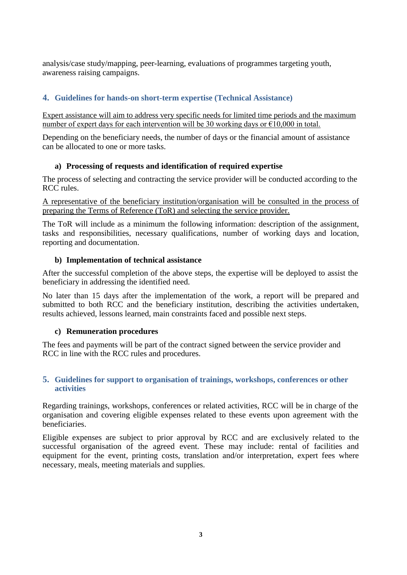analysis/case study/mapping, peer-learning, evaluations of programmes targeting youth, awareness raising campaigns.

# **4. Guidelines for hands-on short-term expertise (Technical Assistance)**

Expert assistance will aim to address very specific needs for limited time periods and the maximum number of expert days for each intervention will be 30 working days or  $\epsilon$ 10,000 in total.

Depending on the beneficiary needs, the number of days or the financial amount of assistance can be allocated to one or more tasks.

### **a) Processing of requests and identification of required expertise**

The process of selecting and contracting the service provider will be conducted according to the RCC rules.

A representative of the beneficiary institution/organisation will be consulted in the process of preparing the Terms of Reference (ToR) and selecting the service provider.

The ToR will include as a minimum the following information: description of the assignment, tasks and responsibilities, necessary qualifications, number of working days and location, reporting and documentation.

### **b) Implementation of technical assistance**

After the successful completion of the above steps, the expertise will be deployed to assist the beneficiary in addressing the identified need.

No later than 15 days after the implementation of the work, a report will be prepared and submitted to both RCC and the beneficiary institution, describing the activities undertaken, results achieved, lessons learned, main constraints faced and possible next steps.

### **c) Remuneration procedures**

The fees and payments will be part of the contract signed between the service provider and RCC in line with the RCC rules and procedures.

#### **5. Guidelines for support to organisation of trainings, workshops, conferences or other activities**

Regarding trainings, workshops, conferences or related activities, RCC will be in charge of the organisation and covering eligible expenses related to these events upon agreement with the beneficiaries.

Eligible expenses are subject to prior approval by RCC and are exclusively related to the successful organisation of the agreed event. These may include: rental of facilities and equipment for the event, printing costs, translation and/or interpretation, expert fees where necessary, meals, meeting materials and supplies.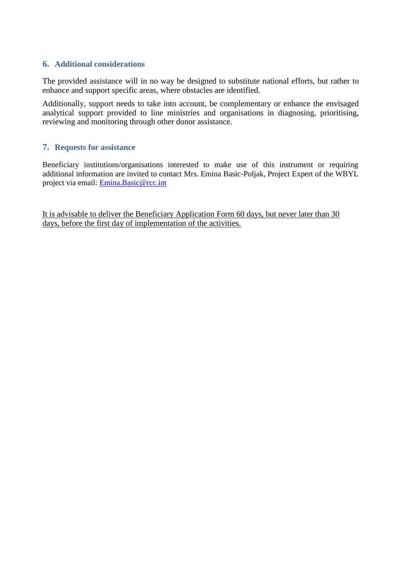#### **6. Additional considerations**

The provided assistance will in no way be designed to substitute national efforts, but rather to enhance and support specific areas, where obstacles are identified.

Additionally, support needs to take into account, be complementary or enhance the envisaged analytical support provided to line ministries and organisations in diagnosing, prioritising, reviewing and monitoring through other donor assistance.

#### **7. Requests for assistance**

Beneficiary institutions/organisations interested to make use of this instrument or requiring additional information are invited to contact Mrs. Emina Basic-Poljak, Project Expert of the WBYL project via email: [Emina.Basic@rcc.int](mailto:Emina.Basic@rcc.int)

It is advisable to deliver the Beneficiary Application Form 60 days, but never later than 30 days, before the first day of implementation of the activities.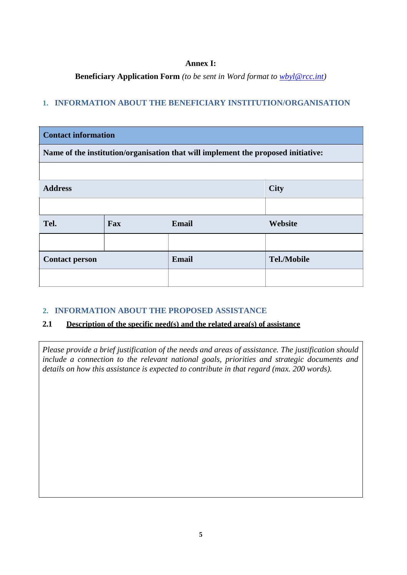#### **Annex I:**

**Beneficiary Application Form** *(to be sent in Word format to [wbyl@rcc.int\)](mailto:wbyl@rcc.int)*

# **1. INFORMATION ABOUT THE BENEFICIARY INSTITUTION/ORGANISATION**

| <b>Contact information</b>                                                        |     |              |                    |  |  |
|-----------------------------------------------------------------------------------|-----|--------------|--------------------|--|--|
| Name of the institution/organisation that will implement the proposed initiative: |     |              |                    |  |  |
|                                                                                   |     |              |                    |  |  |
| <b>Address</b>                                                                    |     |              | <b>City</b>        |  |  |
|                                                                                   |     |              |                    |  |  |
| Tel.                                                                              | Fax | <b>Email</b> | Website            |  |  |
|                                                                                   |     |              |                    |  |  |
| <b>Contact person</b>                                                             |     | <b>Email</b> | <b>Tel./Mobile</b> |  |  |
|                                                                                   |     |              |                    |  |  |

# **2. INFORMATION ABOUT THE PROPOSED ASSISTANCE**

# **2.1 Description of the specific need(s) and the related area(s) of assistance**

*Please provide a brief justification of the needs and areas of assistance. The justification should include a connection to the relevant national goals, priorities and strategic documents and details on how this assistance is expected to contribute in that regard (max. 200 words).*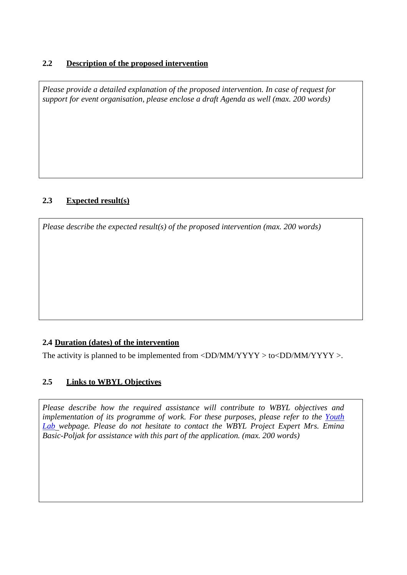## **2.2 Description of the proposed intervention**

*Please provide a detailed explanation of the proposed intervention. In case of request for support for event organisation, please enclose a draft Agenda as well (max. 200 words)*

## **2.3 Expected result(s)**

*Please describe the expected result(s) of the proposed intervention (max. 200 words)*

# **2.4 Duration (dates) of the intervention**

The activity is planned to be implemented from  $\langle DD/MM/YYYY \rangle$  to  $\langle DD/MM/YYYY \rangle$ .

### **2.5 Links to WBYL Objectives**

*Please describe how the required assistance will contribute to WBYL objectives and implementation of its programme of work. For these purposes, please refer to the [Youth](https://www.rcc.int/youthlab) [Lab](https://www.rcc.int/youthlab) webpage. Please do not hesitate to contact the WBYL Project Expert Mrs. Emina Basic-Poljak for assistance with this part of the application. (max. 200 words)*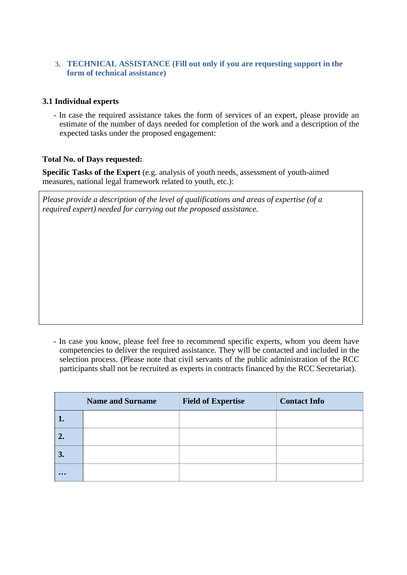### **3. TECHNICAL ASSISTANCE (Fill out only if you are requesting support in the form of technical assistance)**

### **3.1 Individual experts**

- In case the required assistance takes the form of services of an expert, please provide an estimate of the number of days needed for completion of the work and a description of the expected tasks under the proposed engagement:

#### **Total No. of Days requested:**

**Specific Tasks of the Expert** (e.g. analysis of youth needs, assessment of youth-aimed measures, national legal framework related to youth, etc.):

*Please provide a description of the level of qualifications and areas of expertise (of a required expert) needed for carrying out the proposed assistance.*

- In case you know, please feel free to recommend specific experts, whom you deem have competencies to deliver the required assistance. They will be contacted and included in the selection process. (Please note that civil servants of the public administration of the RCC participants shall not be recruited as experts in contracts financed by the RCC Secretariat).

|                         | <b>Name and Surname</b> | <b>Field of Expertise</b> | <b>Contact Info</b> |
|-------------------------|-------------------------|---------------------------|---------------------|
|                         |                         |                           |                     |
| 2.                      |                         |                           |                     |
| 3.                      |                         |                           |                     |
| $\bullet\bullet\bullet$ |                         |                           |                     |